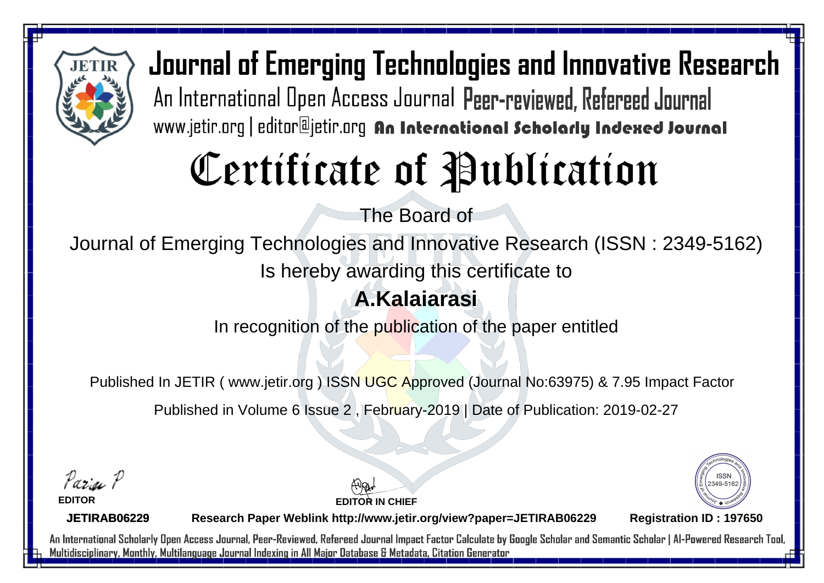

# Certificate of Publication

The Board of

Journal of Emerging Technologies and Innovative Research (ISSN : 2349-5162)

Is hereby awarding this certificate to

#### **A.Kalaiarasi**

In recognition of the publication of the paper entitled

Published In JETIR ( www.jetir.org ) ISSN UGC Approved (Journal No: 63975) & 7.95 Impact Factor

Published in Volume 6 Issue 2 , February-2019 | Date of Publication: 2019-02-27

Paris P

**EDITOR**

**EDITOR IN CHIEF**



**JETIRAB06229**

**Research Paper Weblink http://www.jetir.org/view?paper=JETIRAB06229 Registration ID : 197650**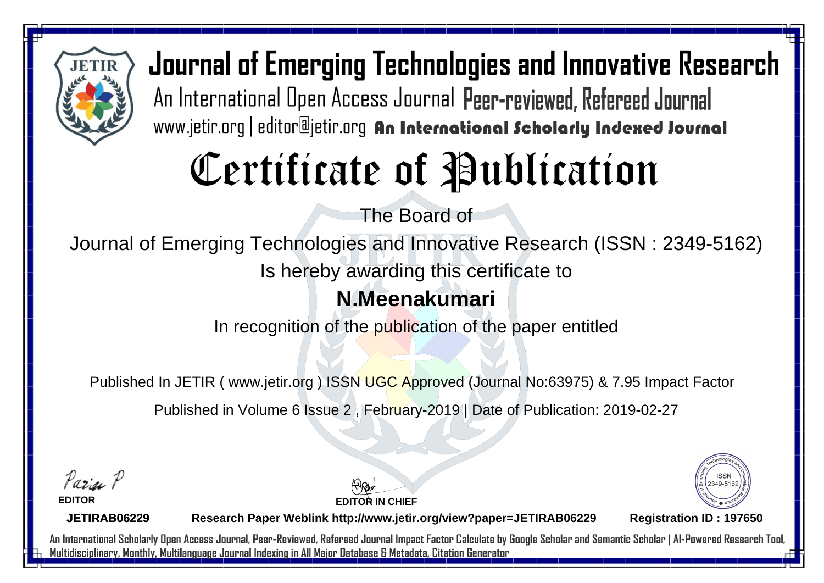

# Certificate of Publication

The Board of

Journal of Emerging Technologies and Innovative Research (ISSN : 2349-5162)

Is hereby awarding this certificate to

#### **N.Meenakumari**

In recognition of the publication of the paper entitled

Published In JETIR ( www.jetir.org ) ISSN UGC Approved (Journal No: 63975) & 7.95 Impact Factor

Published in Volume 6 Issue 2 , February-2019 | Date of Publication: 2019-02-27

Parin P

**EDITOR**

**EDITOR IN CHIEF**



**JETIRAB06229**

**Research Paper Weblink http://www.jetir.org/view?paper=JETIRAB06229 Registration ID : 197650**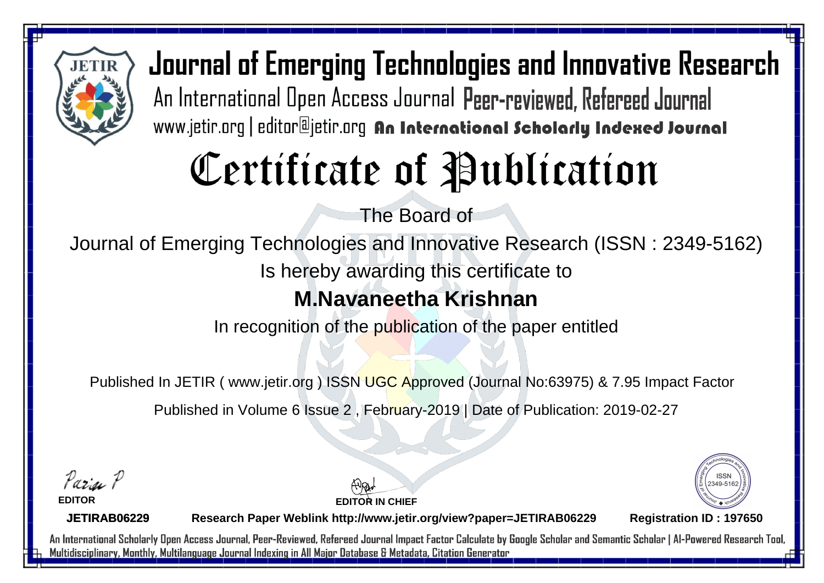

# Certificate of Publication

The Board of

Journal of Emerging Technologies and Innovative Research (ISSN : 2349-5162)

Is hereby awarding this certificate to

#### **M.Navaneetha Krishnan**

In recognition of the publication of the paper entitled

Published In JETIR ( www.jetir.org ) ISSN UGC Approved (Journal No: 63975) & 7.95 Impact Factor

Published in Volume 6 Issue 2 , February-2019 | Date of Publication: 2019-02-27

Parin P

**EDITOR**

**EDITOR IN CHIEF**



**JETIRAB06229**

**Research Paper Weblink http://www.jetir.org/view?paper=JETIRAB06229 Registration ID : 197650**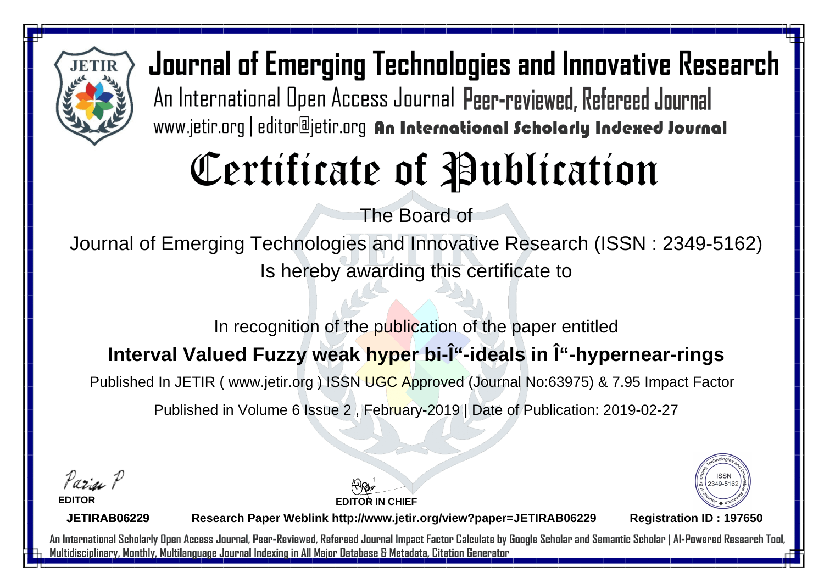

# Certificate of Publication

The Board of

Journal of Emerging Technologies and Innovative Research (ISSN : 2349-5162) Is hereby awarding this certificate to

In recognition of the publication of the paper entitled

#### **Interval Valued Fuzzy weak hyper bi-Î**"-ideals in Î"-hypernear-rings

Published In JETIR ( www.jetir.org ) ISSN UGC Approved (Journal No: 63975) & 7.95 Impact Factor

Published in Volume 6 Issue 2 , February-2019 | Date of Publication: 2019-02-27

Parin P

**EDITOR**

**EDITOR IN CHIEF**



**JETIRAB06229**

**Research Paper Weblink http://www.jetir.org/view?paper=JETIRAB06229 Registration ID : 197650**